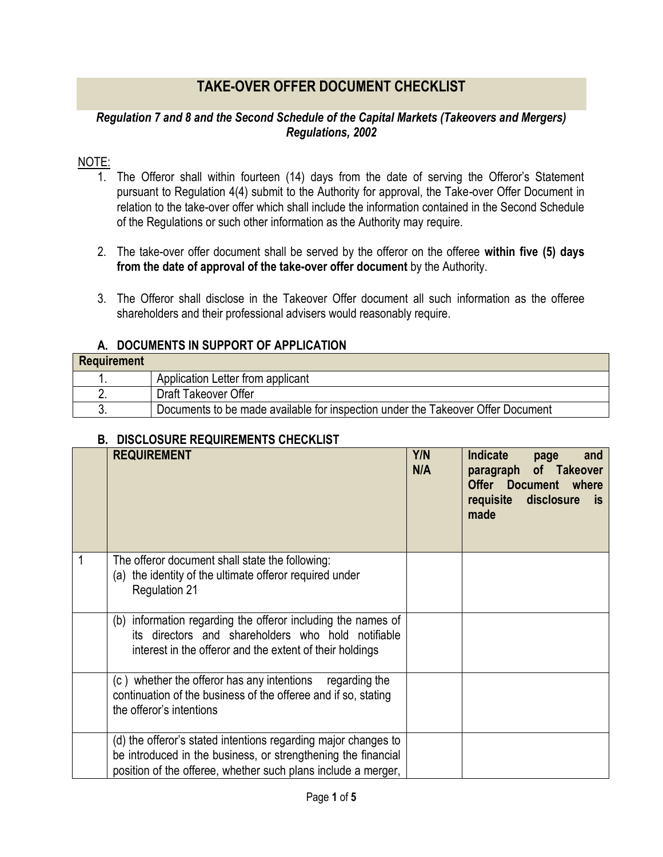## **TAKE-OVER OFFER DOCUMENT CHECKLIST**

## *Regulation 7 and 8 and the Second Schedule of the Capital Markets (Takeovers and Mergers) Regulations, 2002*

## NOTE:

- 1. The Offeror shall within fourteen (14) days from the date of serving the Offeror's Statement pursuant to Regulation 4(4) submit to the Authority for approval, the Take-over Offer Document in relation to the take-over offer which shall include the information contained in the Second Schedule of the Regulations or such other information as the Authority may require.
- 2. The take-over offer document shall be served by the offeror on the offeree **within five (5) days from the date of approval of the take-over offer document** by the Authority.
- 3. The Offeror shall disclose in the Takeover Offer document all such information as the offeree shareholders and their professional advisers would reasonably require.

| A. DOCUMENTS IN SUPPORT OF APPLICATION |
|----------------------------------------|
|----------------------------------------|

| Requirement |                                                                                 |
|-------------|---------------------------------------------------------------------------------|
|             | Application Letter from applicant                                               |
|             | Draft Takeover Offer                                                            |
|             | Documents to be made available for inspection under the Takeover Offer Document |

## **B. DISCLOSURE REQUIREMENTS CHECKLIST**

|   | <b>REQUIREMENT</b>                                                                                                                                                                               | Y/N<br>N/A | <b>Indicate</b><br>and<br>page<br>paragraph of Takeover<br><b>Offer Document where</b><br>requisite disclosure<br>is:<br>made |
|---|--------------------------------------------------------------------------------------------------------------------------------------------------------------------------------------------------|------------|-------------------------------------------------------------------------------------------------------------------------------|
| 1 | The offeror document shall state the following:<br>the identity of the ultimate offeror required under<br>(a)<br><b>Regulation 21</b>                                                            |            |                                                                                                                               |
|   | (b) information regarding the offeror including the names of<br>its directors and shareholders who hold notifiable<br>interest in the offeror and the extent of their holdings                   |            |                                                                                                                               |
|   | (c) whether the offeror has any intentions regarding the<br>continuation of the business of the offeree and if so, stating<br>the offeror's intentions                                           |            |                                                                                                                               |
|   | (d) the offeror's stated intentions regarding major changes to<br>be introduced in the business, or strengthening the financial<br>position of the offeree, whether such plans include a merger, |            |                                                                                                                               |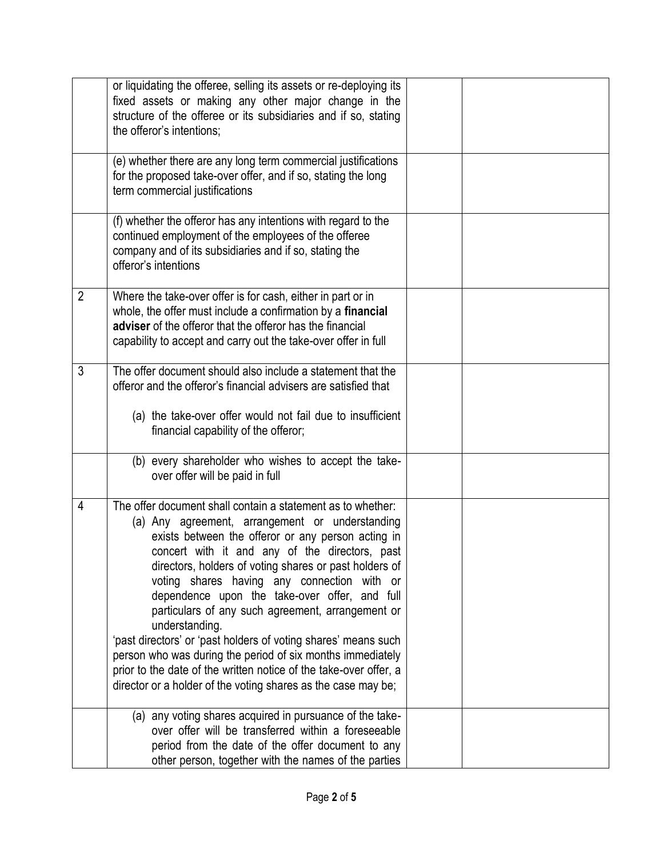|                | or liquidating the offeree, selling its assets or re-deploying its<br>fixed assets or making any other major change in the<br>structure of the offeree or its subsidiaries and if so, stating<br>the offeror's intentions;                                                                                                                                                                                                                                                                                                                                                                                                                                                                                                    |  |
|----------------|-------------------------------------------------------------------------------------------------------------------------------------------------------------------------------------------------------------------------------------------------------------------------------------------------------------------------------------------------------------------------------------------------------------------------------------------------------------------------------------------------------------------------------------------------------------------------------------------------------------------------------------------------------------------------------------------------------------------------------|--|
|                | (e) whether there are any long term commercial justifications<br>for the proposed take-over offer, and if so, stating the long<br>term commercial justifications                                                                                                                                                                                                                                                                                                                                                                                                                                                                                                                                                              |  |
|                | (f) whether the offeror has any intentions with regard to the<br>continued employment of the employees of the offeree<br>company and of its subsidiaries and if so, stating the<br>offeror's intentions                                                                                                                                                                                                                                                                                                                                                                                                                                                                                                                       |  |
| $\overline{2}$ | Where the take-over offer is for cash, either in part or in<br>whole, the offer must include a confirmation by a financial<br>adviser of the offeror that the offeror has the financial<br>capability to accept and carry out the take-over offer in full                                                                                                                                                                                                                                                                                                                                                                                                                                                                     |  |
| 3              | The offer document should also include a statement that the<br>offeror and the offeror's financial advisers are satisfied that<br>(a) the take-over offer would not fail due to insufficient<br>financial capability of the offeror;                                                                                                                                                                                                                                                                                                                                                                                                                                                                                          |  |
|                | (b) every shareholder who wishes to accept the take-<br>over offer will be paid in full                                                                                                                                                                                                                                                                                                                                                                                                                                                                                                                                                                                                                                       |  |
| 4              | The offer document shall contain a statement as to whether:<br>(a) Any agreement, arrangement or understanding<br>exists between the offeror or any person acting in<br>concert with it and any of the directors, past<br>directors, holders of voting shares or past holders of<br>voting shares having any connection with or<br>dependence upon the take-over offer, and full<br>particulars of any such agreement, arrangement or<br>understanding.<br>'past directors' or 'past holders of voting shares' means such<br>person who was during the period of six months immediately<br>prior to the date of the written notice of the take-over offer, a<br>director or a holder of the voting shares as the case may be; |  |
|                | (a) any voting shares acquired in pursuance of the take-<br>over offer will be transferred within a foreseeable<br>period from the date of the offer document to any<br>other person, together with the names of the parties                                                                                                                                                                                                                                                                                                                                                                                                                                                                                                  |  |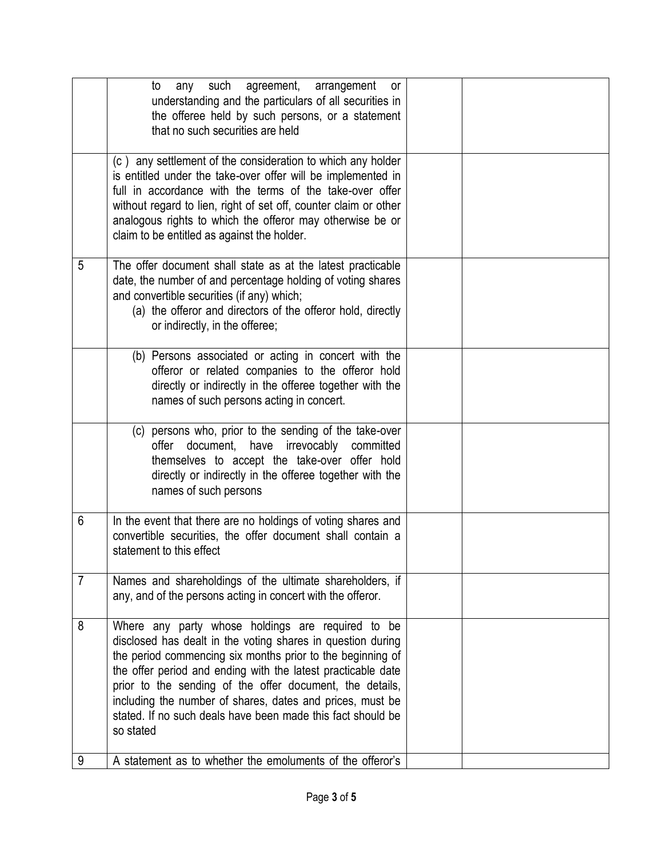|                | any such agreement, arrangement<br>to<br>or<br>understanding and the particulars of all securities in<br>the offeree held by such persons, or a statement<br>that no such securities are held                                                                                                                                                                                                                                                       |  |
|----------------|-----------------------------------------------------------------------------------------------------------------------------------------------------------------------------------------------------------------------------------------------------------------------------------------------------------------------------------------------------------------------------------------------------------------------------------------------------|--|
|                | (c) any settlement of the consideration to which any holder<br>is entitled under the take-over offer will be implemented in<br>full in accordance with the terms of the take-over offer<br>without regard to lien, right of set off, counter claim or other<br>analogous rights to which the offeror may otherwise be or<br>claim to be entitled as against the holder.                                                                             |  |
| 5              | The offer document shall state as at the latest practicable<br>date, the number of and percentage holding of voting shares<br>and convertible securities (if any) which;<br>(a) the offeror and directors of the offeror hold, directly<br>or indirectly, in the offeree;                                                                                                                                                                           |  |
|                | (b) Persons associated or acting in concert with the<br>offeror or related companies to the offeror hold<br>directly or indirectly in the offeree together with the<br>names of such persons acting in concert.                                                                                                                                                                                                                                     |  |
|                | (c) persons who, prior to the sending of the take-over<br>offer document, have irrevocably committed<br>themselves to accept the take-over offer hold<br>directly or indirectly in the offeree together with the<br>names of such persons                                                                                                                                                                                                           |  |
| 6              | In the event that there are no holdings of voting shares and<br>convertible securities, the offer document shall contain a<br>statement to this effect                                                                                                                                                                                                                                                                                              |  |
| $\overline{7}$ | Names and shareholdings of the ultimate shareholders, if<br>any, and of the persons acting in concert with the offeror.                                                                                                                                                                                                                                                                                                                             |  |
| 8              | Where any party whose holdings are required to be<br>disclosed has dealt in the voting shares in question during<br>the period commencing six months prior to the beginning of<br>the offer period and ending with the latest practicable date<br>prior to the sending of the offer document, the details,<br>including the number of shares, dates and prices, must be<br>stated. If no such deals have been made this fact should be<br>so stated |  |
| 9              | A statement as to whether the emoluments of the offeror's                                                                                                                                                                                                                                                                                                                                                                                           |  |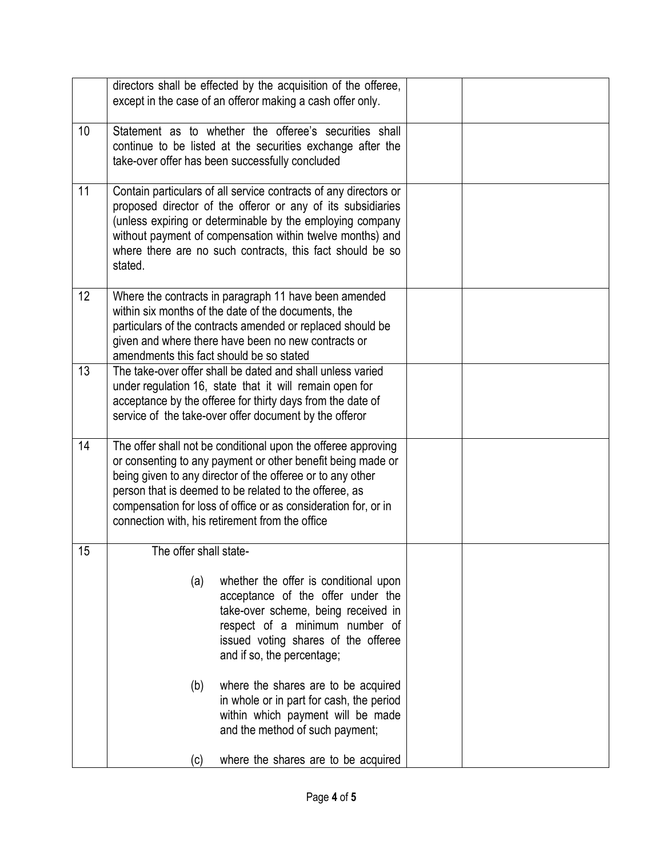|    | directors shall be effected by the acquisition of the offeree,<br>except in the case of an offeror making a cash offer only.                                                                                                                                                                                                                                              |  |
|----|---------------------------------------------------------------------------------------------------------------------------------------------------------------------------------------------------------------------------------------------------------------------------------------------------------------------------------------------------------------------------|--|
| 10 | Statement as to whether the offeree's securities shall<br>continue to be listed at the securities exchange after the<br>take-over offer has been successfully concluded                                                                                                                                                                                                   |  |
| 11 | Contain particulars of all service contracts of any directors or<br>proposed director of the offeror or any of its subsidiaries<br>(unless expiring or determinable by the employing company<br>without payment of compensation within twelve months) and<br>where there are no such contracts, this fact should be so<br>stated.                                         |  |
| 12 | Where the contracts in paragraph 11 have been amended<br>within six months of the date of the documents, the<br>particulars of the contracts amended or replaced should be<br>given and where there have been no new contracts or<br>amendments this fact should be so stated                                                                                             |  |
| 13 | The take-over offer shall be dated and shall unless varied<br>under regulation 16, state that it will remain open for<br>acceptance by the offeree for thirty days from the date of<br>service of the take-over offer document by the offeror                                                                                                                             |  |
| 14 | The offer shall not be conditional upon the offeree approving<br>or consenting to any payment or other benefit being made or<br>being given to any director of the offeree or to any other<br>person that is deemed to be related to the offeree, as<br>compensation for loss of office or as consideration for, or in<br>connection with, his retirement from the office |  |
| 15 | The offer shall state-                                                                                                                                                                                                                                                                                                                                                    |  |
|    | whether the offer is conditional upon<br>(a)<br>acceptance of the offer under the<br>take-over scheme, being received in<br>respect of a minimum number of<br>issued voting shares of the offeree<br>and if so, the percentage;                                                                                                                                           |  |
|    | (b)<br>where the shares are to be acquired<br>in whole or in part for cash, the period<br>within which payment will be made<br>and the method of such payment;                                                                                                                                                                                                            |  |
|    | where the shares are to be acquired<br>(c)                                                                                                                                                                                                                                                                                                                                |  |